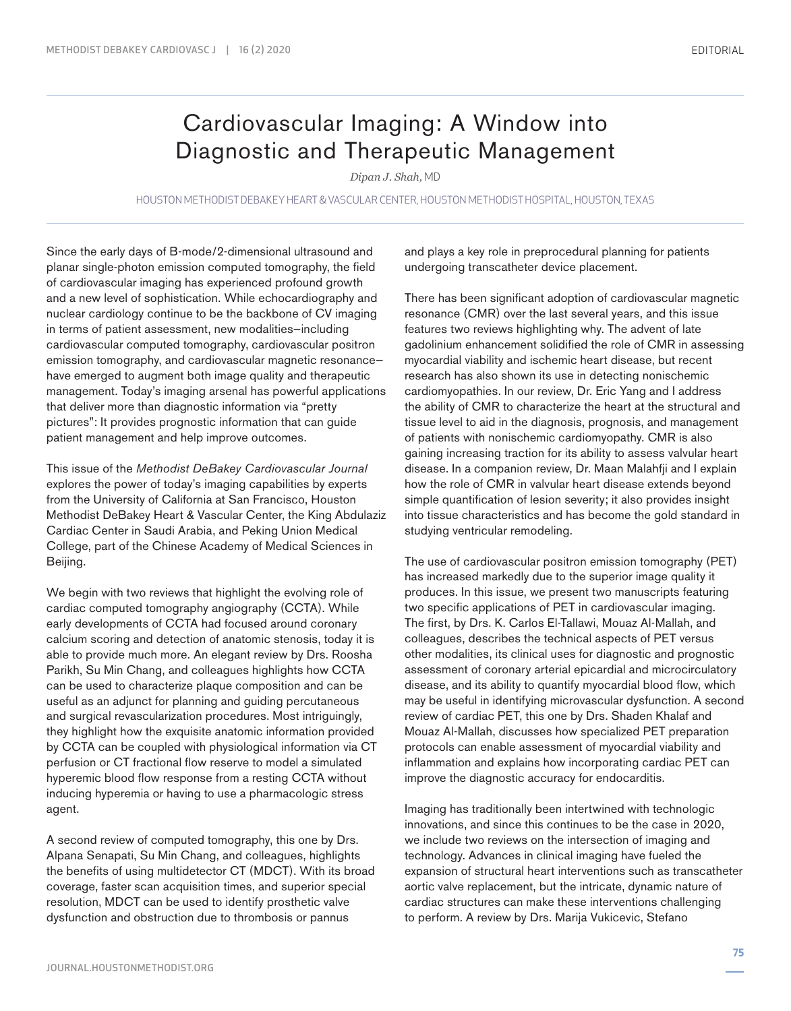## Cardiovascular Imaging: A Window into Diagnostic and Therapeutic Management

*Dipan J. Shah,* MD

HOUSTON METHODIST DEBAKEY HEART & VASCULAR CENTER, HOUSTON METHODIST HOSPITAL, HOUSTON, TEXAS

Since the early days of B-mode/2-dimensional ultrasound and planar single-photon emission computed tomography, the field of cardiovascular imaging has experienced profound growth and a new level of sophistication. While echocardiography and nuclear cardiology continue to be the backbone of CV imaging in terms of patient assessment, new modalities—including cardiovascular computed tomography, cardiovascular positron emission tomography, and cardiovascular magnetic resonance have emerged to augment both image quality and therapeutic management. Today's imaging arsenal has powerful applications that deliver more than diagnostic information via "pretty pictures": It provides prognostic information that can guide patient management and help improve outcomes.

This issue of the *Methodist DeBakey Cardiovascular Journal* explores the power of today's imaging capabilities by experts from the University of California at San Francisco, Houston Methodist DeBakey Heart & Vascular Center, the King Abdulaziz Cardiac Center in Saudi Arabia, and Peking Union Medical College, part of the Chinese Academy of Medical Sciences in Beijing.

We begin with two reviews that highlight the evolving role of cardiac computed tomography angiography (CCTA). While early developments of CCTA had focused around coronary calcium scoring and detection of anatomic stenosis, today it is able to provide much more. An elegant review by Drs. Roosha Parikh, Su Min Chang, and colleagues highlights how CCTA can be used to characterize plaque composition and can be useful as an adjunct for planning and guiding percutaneous and surgical revascularization procedures. Most intriguingly, they highlight how the exquisite anatomic information provided by CCTA can be coupled with physiological information via CT perfusion or CT fractional flow reserve to model a simulated hyperemic blood flow response from a resting CCTA without inducing hyperemia or having to use a pharmacologic stress agent.

A second review of computed tomography, this one by Drs. Alpana Senapati, Su Min Chang, and colleagues, highlights the benefits of using multidetector CT (MDCT). With its broad coverage, faster scan acquisition times, and superior special resolution, MDCT can be used to identify prosthetic valve dysfunction and obstruction due to thrombosis or pannus

and plays a key role in preprocedural planning for patients undergoing transcatheter device placement.

There has been significant adoption of cardiovascular magnetic resonance (CMR) over the last several years, and this issue features two reviews highlighting why. The advent of late gadolinium enhancement solidified the role of CMR in assessing myocardial viability and ischemic heart disease, but recent research has also shown its use in detecting nonischemic cardiomyopathies. In our review, Dr. Eric Yang and I address the ability of CMR to characterize the heart at the structural and tissue level to aid in the diagnosis, prognosis, and management of patients with nonischemic cardiomyopathy. CMR is also gaining increasing traction for its ability to assess valvular heart disease. In a companion review, Dr. Maan Malahfji and I explain how the role of CMR in valvular heart disease extends beyond simple quantification of lesion severity; it also provides insight into tissue characteristics and has become the gold standard in studying ventricular remodeling.

The use of cardiovascular positron emission tomography (PET) has increased markedly due to the superior image quality it produces. In this issue, we present two manuscripts featuring two specific applications of PET in cardiovascular imaging. The first, by Drs. K. Carlos El-Tallawi, Mouaz Al-Mallah, and colleagues, describes the technical aspects of PET versus other modalities, its clinical uses for diagnostic and prognostic assessment of coronary arterial epicardial and microcirculatory disease, and its ability to quantify myocardial blood flow, which may be useful in identifying microvascular dysfunction. A second review of cardiac PET, this one by Drs. Shaden Khalaf and Mouaz Al-Mallah, discusses how specialized PET preparation protocols can enable assessment of myocardial viability and inflammation and explains how incorporating cardiac PET can improve the diagnostic accuracy for endocarditis.

Imaging has traditionally been intertwined with technologic innovations, and since this continues to be the case in 2020, we include two reviews on the intersection of imaging and technology. Advances in clinical imaging have fueled the expansion of structural heart interventions such as transcatheter aortic valve replacement, but the intricate, dynamic nature of cardiac structures can make these interventions challenging to perform. A review by Drs. Marija Vukicevic, Stefano